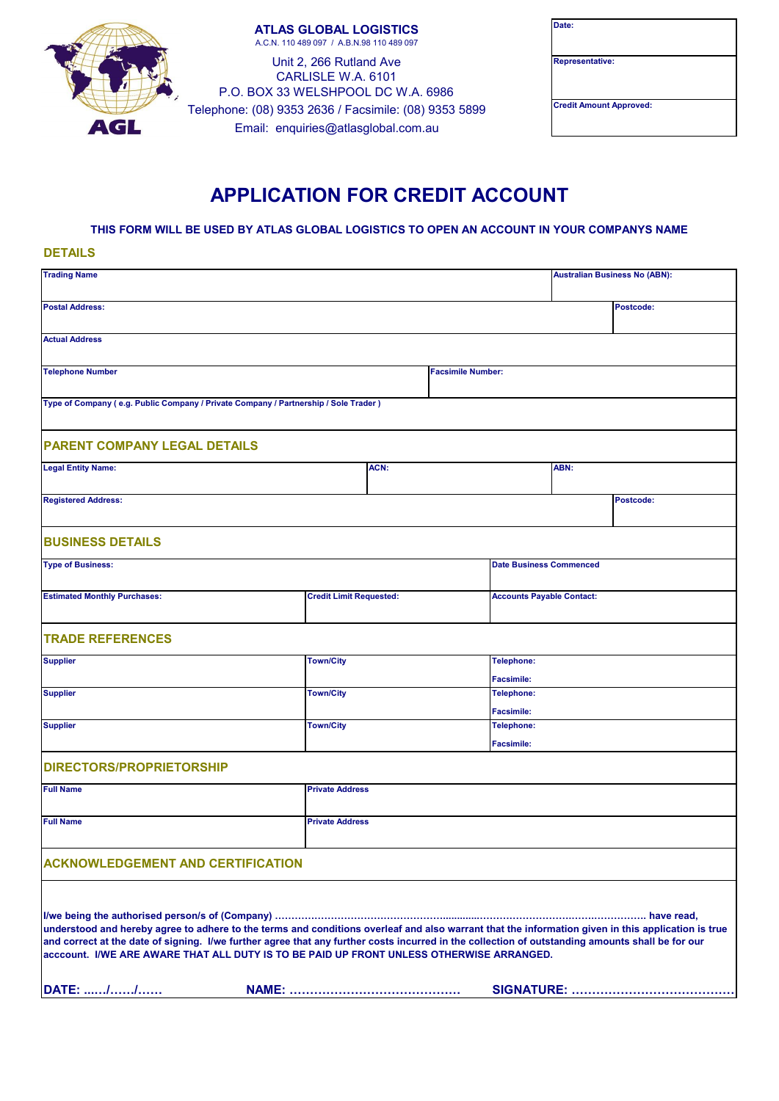

**ATLAS GLOBAL LOGISTICS** A.C.N. 110 489 097 / A.B.N.98 110 489 097

Unit 2, 266 Rutland Ave CARLISLE W.A. 6101 P.O. BOX 33 WELSHPOOL DC W.A. 6986 Email: enquiries@atlasglobal.com.au Telephone: (08) 9353 2636 / Facsimile: (08) 9353 5899

| Date:                          |  |
|--------------------------------|--|
|                                |  |
|                                |  |
|                                |  |
| <b>Representative:</b>         |  |
|                                |  |
|                                |  |
|                                |  |
| <b>Credit Amount Approved:</b> |  |
|                                |  |
|                                |  |
|                                |  |

## **APPLICATION FOR CREDIT ACCOUNT**

**THIS FORM WILL BE USED BY ATLAS GLOBAL LOGISTICS TO OPEN AN ACCOUNT IN YOUR COMPANYS NAME**

**DETAILS**

| <b>Trading Name</b>                                                                                                                                                                                                                                                                                                                                                                                |                  |                                |  |                          | <b>Australian Business No (ABN):</b>   |           |  |
|----------------------------------------------------------------------------------------------------------------------------------------------------------------------------------------------------------------------------------------------------------------------------------------------------------------------------------------------------------------------------------------------------|------------------|--------------------------------|--|--------------------------|----------------------------------------|-----------|--|
| <b>Postal Address:</b>                                                                                                                                                                                                                                                                                                                                                                             |                  |                                |  |                          |                                        | Postcode: |  |
| <b>Actual Address</b>                                                                                                                                                                                                                                                                                                                                                                              |                  |                                |  |                          |                                        |           |  |
| <b>Telephone Number</b>                                                                                                                                                                                                                                                                                                                                                                            |                  |                                |  | <b>Facsimile Number:</b> |                                        |           |  |
| Type of Company (e.g. Public Company / Private Company / Partnership / Sole Trader )                                                                                                                                                                                                                                                                                                               |                  |                                |  |                          |                                        |           |  |
| <b>PARENT COMPANY LEGAL DETAILS</b>                                                                                                                                                                                                                                                                                                                                                                |                  |                                |  |                          |                                        |           |  |
| <b>Legal Entity Name:</b>                                                                                                                                                                                                                                                                                                                                                                          |                  | ACN:                           |  |                          | ABN:                                   |           |  |
| <b>Registered Address:</b>                                                                                                                                                                                                                                                                                                                                                                         |                  |                                |  |                          |                                        | Postcode: |  |
| <b>BUSINESS DETAILS</b>                                                                                                                                                                                                                                                                                                                                                                            |                  |                                |  |                          |                                        |           |  |
| <b>Type of Business:</b>                                                                                                                                                                                                                                                                                                                                                                           |                  |                                |  |                          | <b>Date Business Commenced</b>         |           |  |
| <b>Estimated Monthly Purchases:</b>                                                                                                                                                                                                                                                                                                                                                                |                  | <b>Credit Limit Requested:</b> |  |                          | <b>Accounts Payable Contact:</b>       |           |  |
| <b>TRADE REFERENCES</b>                                                                                                                                                                                                                                                                                                                                                                            |                  |                                |  |                          |                                        |           |  |
| <b>Supplier</b>                                                                                                                                                                                                                                                                                                                                                                                    | <b>Town/City</b> |                                |  |                          | Telephone:                             |           |  |
| <b>Supplier</b>                                                                                                                                                                                                                                                                                                                                                                                    | <b>Town/City</b> |                                |  |                          | <b>Facsimile:</b><br><b>Telephone:</b> |           |  |
|                                                                                                                                                                                                                                                                                                                                                                                                    |                  |                                |  | <b>Facsimile:</b>        |                                        |           |  |
| <b>Supplier</b>                                                                                                                                                                                                                                                                                                                                                                                    |                  | <b>Town/City</b><br>Telephone: |  |                          |                                        |           |  |
| <b>DIRECTORS/PROPRIETORSHIP</b>                                                                                                                                                                                                                                                                                                                                                                    |                  |                                |  | <b>Facsimile:</b>        |                                        |           |  |
| <b>Full Name</b>                                                                                                                                                                                                                                                                                                                                                                                   |                  | <b>Private Address</b>         |  |                          |                                        |           |  |
| <b>Full Name</b>                                                                                                                                                                                                                                                                                                                                                                                   |                  | <b>Private Address</b>         |  |                          |                                        |           |  |
| <b>ACKNOWLEDGEMENT AND CERTIFICATION</b>                                                                                                                                                                                                                                                                                                                                                           |                  |                                |  |                          |                                        |           |  |
| understood and hereby agree to adhere to the terms and conditions overleaf and also warrant that the information given in this application is true<br>and correct at the date of signing. I/we further agree that any further costs incurred in the collection of outstanding amounts shall be for our<br>acccount. I/WE ARE AWARE THAT ALL DUTY IS TO BE PAID UP FRONT UNLESS OTHERWISE ARRANGED. |                  |                                |  |                          |                                        |           |  |
| DATE: //                                                                                                                                                                                                                                                                                                                                                                                           |                  |                                |  |                          |                                        |           |  |